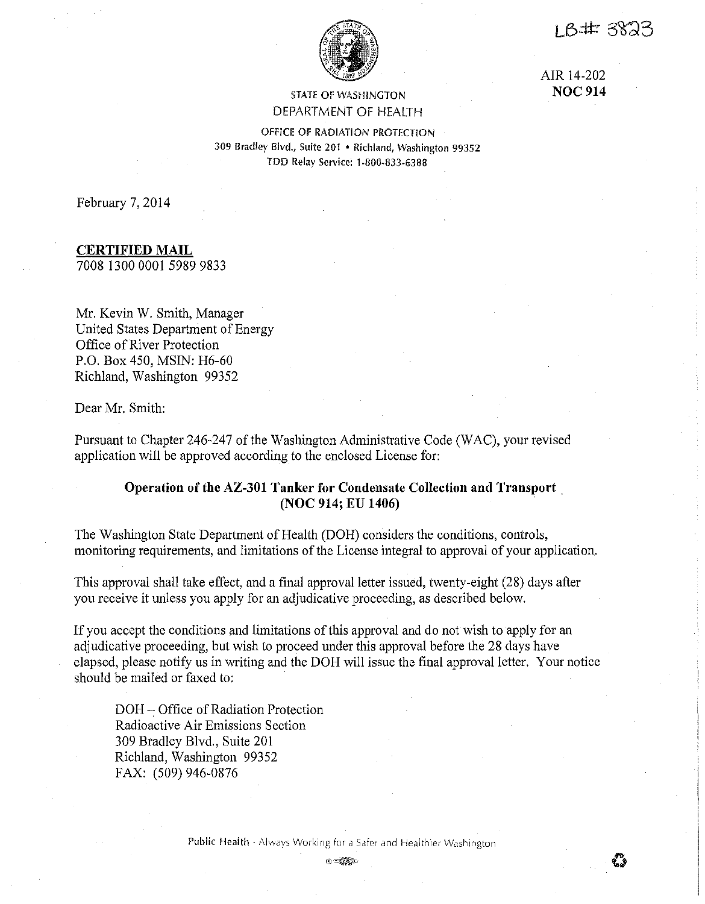1 B# 3823



# STATE OF WASHINGTON DEPARTMENT OF HEALTH

AIR 14-202 **NOC914** 

OFFICE OF RADIATION PROTECTION 309 Bradley Blvd., Suite 201 • Richland, Washington 99352 TDD Relay Service: 1-800-833-6388

February 7, 2014

# **CERTIFIED MAIL**

7008 1300 0001 5989 9833

Mr. Kevin W. Smith, Manager United States Department of Energy Office of River Protection P.O. Box 450, MSIN: H6-60 Richland, Washington 99352

Dear Mr. Smith:

Pursuant to Chapter 246-247 of the Washington Administrative Code (WAC), your revised application will be approved according to the enclosed License for:

# **Operation of the AZ-301 Tanker for Condensate Collection and Transport. (NOC 914; EU 1406)**

The Washington State Department of Health (DOH) considers the conditions, controls, monitoring requirements, and limitations of the License integral to approval of your application.

This approval shall take effect, and a final approval letter issued, twenty-eight (28) days after you receive it unless you apply for an adjudicative proceeding, as described below.

If you accept the conditions and limitations of this approval and do not wish to apply for an adjudicative proceeding, but wish to proceed under this approval before the 28 days have elapsed, please notify us in writing and the DOH will issue the final approval letter. Your notice should be mailed or faxed to:

DOH- Office of Radiation Protection Radioactive Air Emissions Section 309 Bradley Blvd., Suite 201 Richland, Washington 99352 FAX: (509) 946-0876

Public Health - Always Working for a Safer and Healthier Washington

 $\odot$  which  $\odot$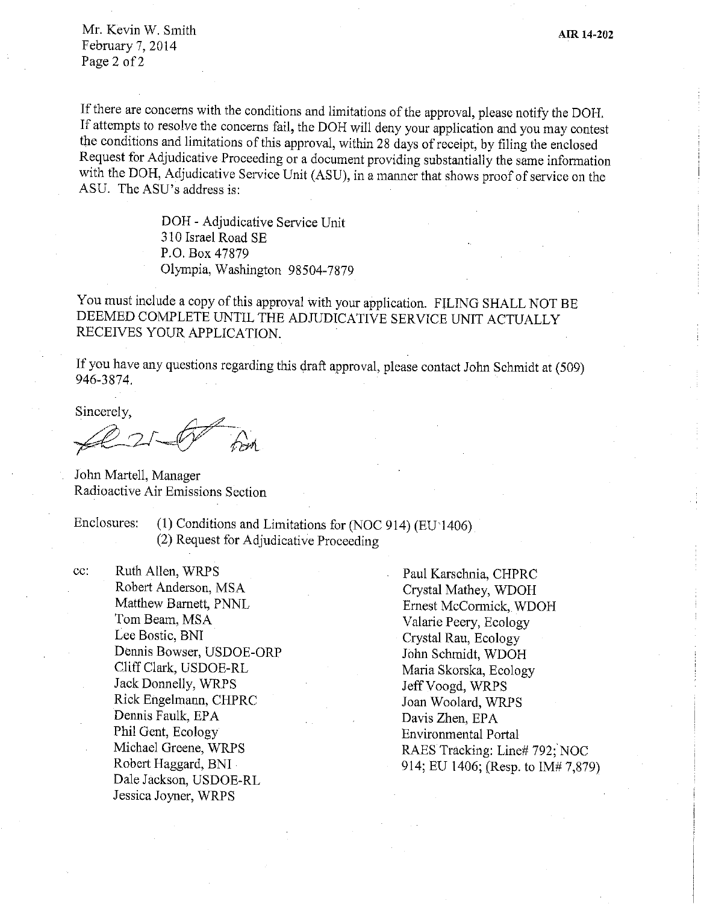Mr. Kevin W. Smith February 7, 2014 Page 2 of 2

If there are concerns with the conditions and limitations of the approval, please notify the DOH. If attempts to resolve the concerns fail, the DOH will deny your application and you may contest the conditions and limitations of this approval, within 28 days of receipt, by filing the enclosed Request for Adjudicative Proceeding or a document providing substantially the same information with the DOH, Adjudicative Service Unit (ASU), in a manner that shows proof of service on the ASU. The ASU's address is:

> DOH · Adjudicative Service Unit 310 Israel Road SE P.O. Box 47879 Olympia, Washington 98504-7879

You must include a copy of this approval with your application. FILING SHALL NOT BE DEEMED COMPLETE UNTIL THE ADJUDICATIVE SERVICE UNIT ACTUALLY RECEIVES YOUR APPLICATION.

If you have any questions regarding this draft approval, please contact John Schmidt at (509) 946-3874.

Sincerely,

*~rJ-f-=~fc/4* 

John Martell, Manager Radioactive Air Emissions Section

Enclosures: (1) Conditions and Limitations for (NOC 914) (EU 1406) (2) Request for Adjudicative Proceeding

cc: Ruth Allen, WRPS Robert Anderson, MSA Matthew Barnett, PNNL Tom Beam, MSA Lee Bostic, BNI Dennis Bowser, USDOE-ORP Cliff Clark, USDOE-RL Jack Donnelly, WRPS Rick Engelmann, CHPRC Dennis Faulk, EPA Phil Gent, Ecology Michael Greene, WRPS Robert Haggard, BNI Dale Jackson, USDOE-RL Jessica Joyner, WRPS

Paul Karschnia, CHPRC Crystal Mathey, WDOH Ernest McConnick, WDOH Valarie Peery, Ecology Crystal Rau, Ecology John Schmidt, WDOH Maria Skorska, Ecology Jeff Voogd, WRPS Joan Woolard, WRPS Davis Zhen, EPA Environmental Portal RAES Tracking: Line# 792; NOC 914; EU 1406; (Resp. to IM# 7,879)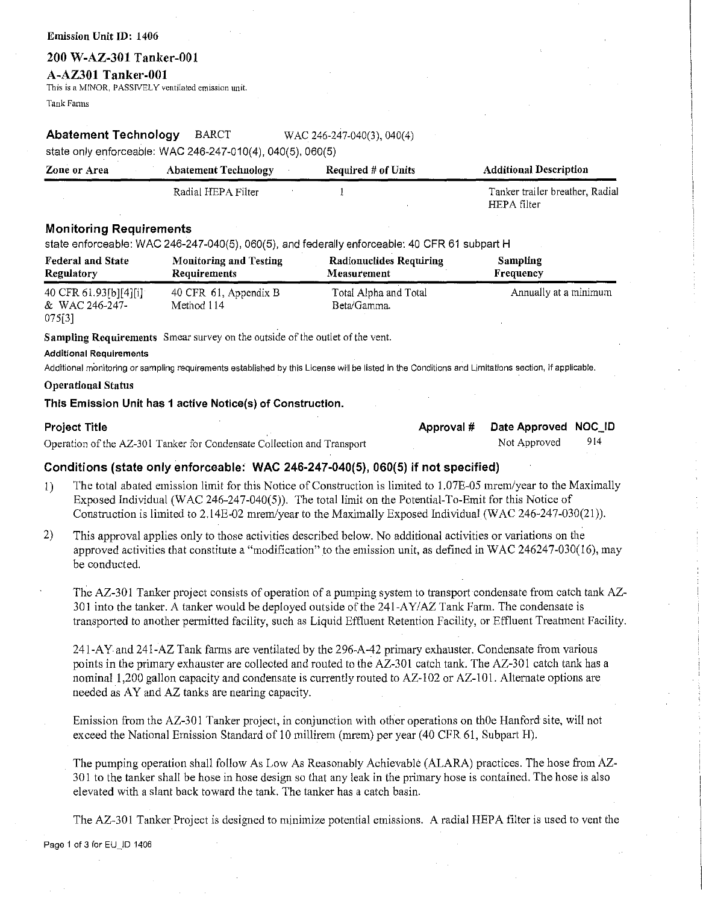#### Emission Unit ID: 1406

## **200 W-AZ-301 Tanker-001**

### **A-AZ301 Tanker-001**

This is a MINOR, PASSIVELY ventilated emission unit. Tank Fatms

## **Abatement Technology** BARCT WAC 246-247-040(3), 040(4)

state only enforceable: WAC 246-247-010(4), 040(5), 060(5)

| Zone or Area | <b>Abatement Technology</b> | Required $#$ of Units | <b>Additional Description</b>   |
|--------------|-----------------------------|-----------------------|---------------------------------|
|              | Radial HEPA Filter          |                       | Tanker trailer breather, Radial |
|              |                             |                       | HEPA filter                     |

## **Monitoring Requirements**

state enforceable: WAC 246-247-040(5), 060(5), and federally enforceable: 40 CFR 61 subpart H

| <b>Federal and State</b>                             | <b>Monitoring and Testing</b>       | <b>Radionuclides Requiring</b>       | <b>Sampling</b>       |
|------------------------------------------------------|-------------------------------------|--------------------------------------|-----------------------|
| Regulatory                                           | Requirements                        | Measurement                          | Frequency             |
| 40 CFR 61.93 $[6][4][1]$<br>& WAC 246-247-<br>075[3] | 40 CFR 61, Appendix B<br>Method 114 | Total Alpha and Total<br>Beta/Gamma. | Annually at a minimum |

**Sampling Requirements** Smear survey on the outside of the outlet of the vent.

#### **Additional Requirements**

Additional monitoring or sampling requirements established by this License will be listed in the Conditions and Limitations section, if applicable.

### **Operational Status**

### **This Emission Unit has 1 active Notice(s) of Construction.**

| <b>Project Title</b>                                                   | Approval # | Date Approved NOC_ID |     |
|------------------------------------------------------------------------|------------|----------------------|-----|
| Operation of the AZ-301 Tanker for Condensate Collection and Transport |            | Not Approved         | 914 |
|                                                                        |            |                      |     |

## **Conditions (state only enforceable: WAC 246-247-040(5), 060(5) if not specified)**

- !) The total abated emission limit for this Notice of Construction is limited to 1.07E-05 mrem/year to the Maximally Exposed Individual (WAC 246-247-040(5)). The total limit on the Potential-To-Emit for this Notice of Construction is limited to 2.14E-02 mrem/year to the Maximally Exposed Individual (WAC 246-247-030(21)).
- 2) This approval applies only to those activities described below. No additional activities or variations on the approved activities that constitute a "modification" to the emission unit, as defined in WAC 246247-030(16), may be conducted.

The AZ-301 Tanker project consists of operation of a pumping system to transport condensate from catch tank AZ-301 into the tanker. A tanker would be deployed outside of the  $241-AY/AZ$  Tank Farm. The condensate is transported to another pennitted facility, such as Liquid Effluent Retention Facility, or Effluent Treatment Facility.

241-AY and 241-AZ Tank farms are ventilated by the 296-A-42 primary exhauster. Condensate from various points in the primary exhauster are collected and routed to the AZ-301 catch tank. The AZ-301 catch tank has a nominal 1,200 gallon capacity and condensate is currently routed to AZ-102 or AZ-101. Alternate options are needed as AY and AZ tanks are nearing capacity.

Emission from the AZ-301 Tanker project, in conjunction with other operations on th $\theta$ e Hanford site, will not exceed the National Emission Standard of 10 millirem (mrem) per year (40 CFR 61, Subpart H).

The pumping operation shall follow As Low As Reasonably Achievable (ALARA) practices. The hose from AZ-30 I to the tanker shall be hose in hose design so that any leak in the primary hose is contained. The hose is also elevated with a slant back toward the tank. The tanker has a catch basin.

The AZ-301 Tanker Project is designed to minimize potential emissions. A radial HEPA filter is used to vent the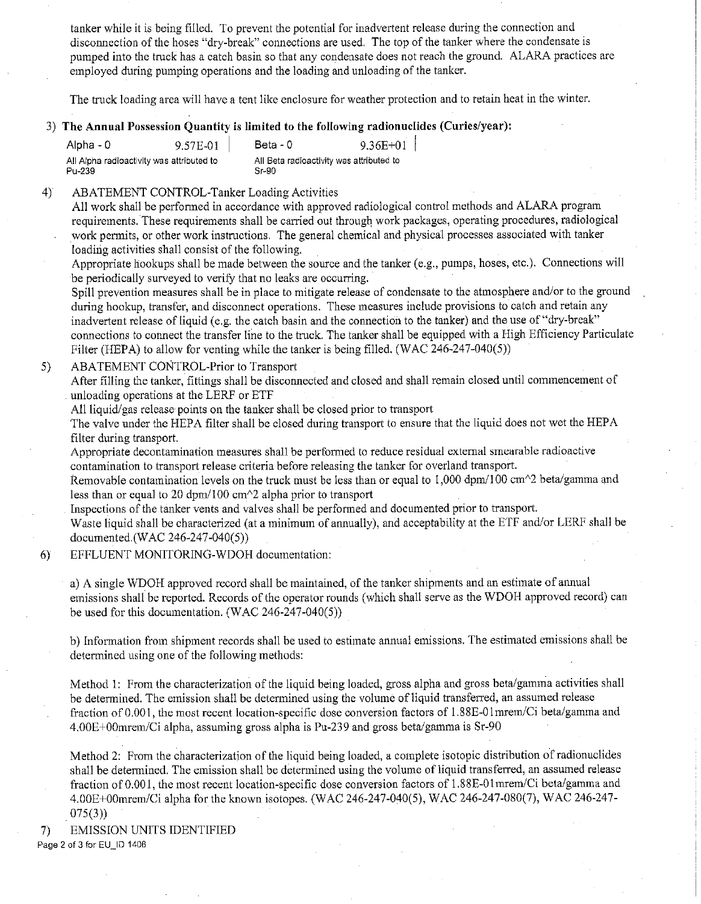tanker while it is being filled. To prevent the potential for inadvertent release during the connection and disconnection of the hoses "dry-break" connections are used. The top of the tanker where the condensate is pumped into the truck has a catch basin so that any condensate does not reach the ground. ALARA practices are employed during pumping operations and the loading and unloading of the tanker.

The truck loading area will have a tent like enclosure for weather protection and to retain heat in the winter.

# 3) **The Annual Possession Quantity is limited to the following radionuclides (Curies/year):**

| Alpha - 0                                           | 9.57E-01 | Beta - 0 | $9.36E+01$                               |
|-----------------------------------------------------|----------|----------|------------------------------------------|
| All Alpha radioactivity was attributed to<br>Pu-239 |          | Sr-90    | All Beta radioactivity was attributed to |

### 4) ABATEMENT CONTROL-Tanker Loading Activities

All work shall be performed in accordance with approved radiological control methods and ALARA program requirements. These requirements shall be carried out through work packages, operating procedures, radiological work permits, or other work instructions. The general chemical and physical processes associated with tanker loading activities shall consist of the following.

Appropriate hookups shall be made between the source and the tanker (e.g., pumps, hoses, etc.). Connections will be periodically surveyed to verify that no leaks are occurring.

Spill prevention measures shall be in place to mitigate release of condensate to the atmosphere and/or to the ground during hookup, transfer, and disconnect operations. These measures include provisions to catch and retain any inadvertent release of liquid (e.g. the catch basin and the connection to the tanker) and the use of "dry-break" connections to connect the transfer line to the truck. The tanker shall be equipped with a High Efficiency Particulate Filter (HEPA) to allow for venting while the tanker is being filled. (WAC 246-247-040(5))

## 5) ABATEMENT CONTROL-Prior to Transport

After filling the tanker, fittings shall be disconnected and closed and shall remain closed until commencement of unloading operations at the LERF or ETF

All liquid/gas release points on the tanker shall be closed prior to transport

The valve under the HEPA filter shall be closed during transport to ensure that the liquid does not wet the HEPA filter during transport.

Appropriate decontamination measures shall be performed to reduce residual external smearable radioactive contamination to transport release criteria before releasing the tanker for overland transport.

Removable contamination levels on the truck must be less than or equal to 1,000 dpm/100 cm<sup>^2</sup> beta/gamma and less than or equal to 20 dpm/100 cm $\textdegree$ 2 alpha prior to transport

Inspections of the tanker vents and valves shall be performed and documented prior to transport.

Waste liquid shall be characterized (at a minimum of annually), and acceptability at the ETF and/or LERF shall be documented.(WAC 246-247-040(5))

6) EFFLUENT MONITORING-WDOH documentation:

a) A single WDOH approved record shall be maintained, of the tanker shipments and an estimate of annual emissions shall be reported. Records of the operator rounds ( which shall serve as the WDOH approved record) can be used for this documentation. (WAC 246-247-040(5))

b) Information from shipment records shall be used to estimate annual emissions. The estimated emissions shall be determined using one of the following methods:

Method I: From the characterization of the liquid being loaded, gross alpha and gross beta/gamma activities shall be determined. The emission shall be determined using the volume of liquid transferred, an assumed release fraction of 0.001, the most recent location-specific dose conversion factors of l .88E-0 1 mrem/Ci beta/gamma and 4.00E+00mrem/Ci alpha, assuming gross alpha is Pu-239 and gross beta/gamma is Sr-90

Method 2: From the characterization of the liquid being loaded, a complete isotopic distribution of radionuclides shall be determined. The emission shall be detennined using the volume of liquid transferred, an assumed release fraction of 0.001, the most recent location-specific dose conversion factors of 1.88E-01 mrem/Ci beta/gamma and 4.00E+00mrem/Ci alpha for the known isotopes. (WAC 246-247-040(5), WAC 246-247-080(7), WAC 246-247- 075(3))

7) EMISSION UNITS IDENTIFIED **Page 2 of 3 for EU\_ID 1406**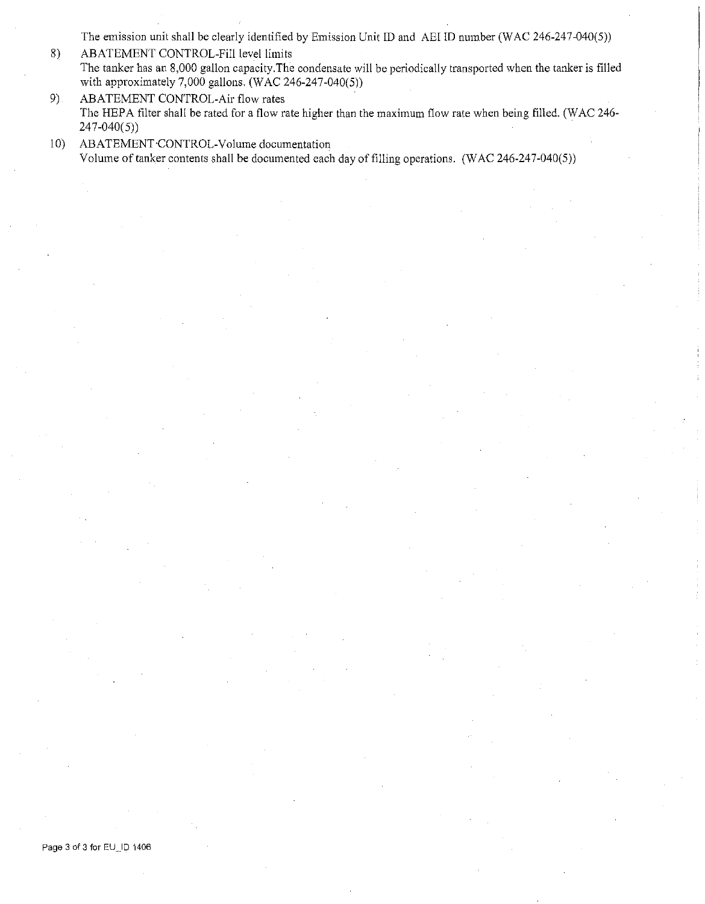The emission unit shall be clearly identified by Emission Unit ID and AEI ID number (WAC 246-247-040(5))

- 8) ABATEMENT CONTROL-Fill level limits The tanker has an 8,000 gallon capacity.The condensate will be periodically transported when the tanker is filled with approximately 7,000 gallons. (WAC 246-247-040(5))
- 9) ABATEMENT CONTROL-Air flow rates The HEPA filter shall be rated for a flow rate higher than the maximum flow rate when being filled. (WAC 246- $247 - 040(5)$
- 10) ABATEMENT·CONTROL-Volume documentation Volume of tanker contents shall be documented each day of filling operations. (WAC 246-247-040(5))

Page 3 of 3 for EU\_ID 1406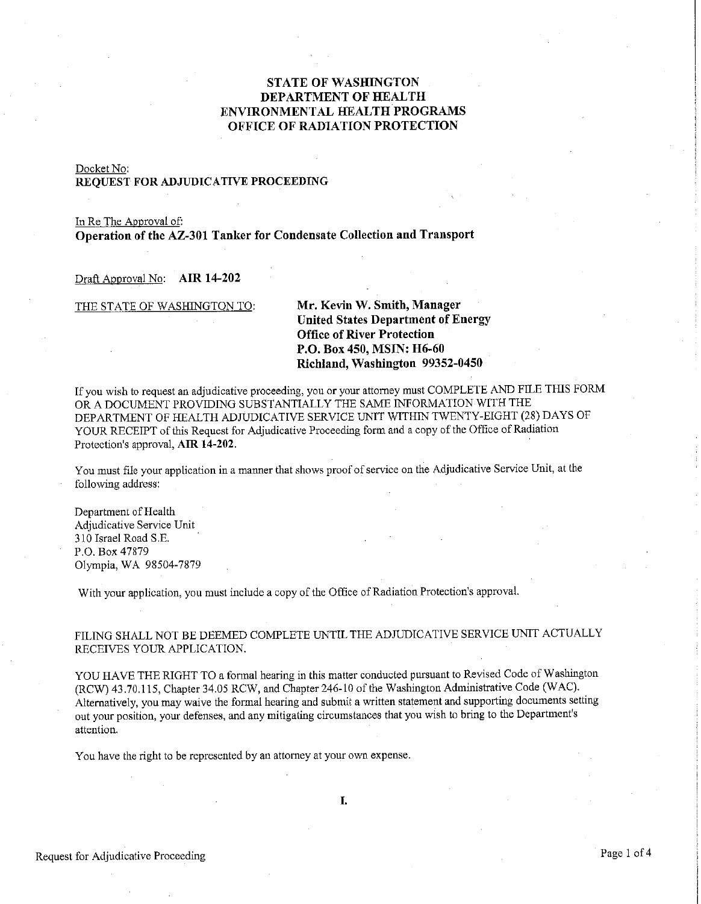# **STATE OF WASHINGTON DEPARTMENT OF HEALTH ENVIRONMENTAL HEALTH PROGRAMS OFFICE OF RADIATION PROTECTION**

## Docket No: **REQUEST FOR ADJUDICATIVE PROCEEDING**

In Re The Approval of: **Operation of the AZ-301 Tanker for Condensate Collection and Transport** 

Draft Approval No: **AIR 14-202** 

## THE STATE OF WASHINGTON TO: **Mr. Kevin W. Smith, Manager United States Department of Energy Office of River Protection P.O. Box 450, MSIN: H6-60 Richland, Washington 99352-0450**

If you wish to request an adjudicative proceeding, you or your attorney must COMPLETE AND FILE THIS FORM OR A DOCUMENT PROVIDING SUBSTANTIALLY THE SAME INFORMATION WITH THE DEPARTMENT OF HEALTH ADJUDICATIVE SERVICE UNIT WITHIN TWENTY-EIGHT (28) DAYS OF YOUR RECEIPT of this Request for Adjudicative Proceeding form and a copy of the Office of Radiation Protection's approval, **AIR 14-202.** 

You must file your application in a manner that shows proof of service on the Adjudicative Service Unit, at the following address:

Department of Health Adjudicative Service Unit 310 Israel Road S .E. P.O. Box 47879 Olympia, WA 98504-7879

With your application, you must include a copy of the Office of Radiation Protection's approval.

## FILING SHALL NOT BE DEEMED COMPLETE UNTIL THE ADJUDICATIVE SERVICE UNIT ACTUALLY RECEIVES YOUR APPLICATION.

YOU HAVE THE RIGHT TO a formal hearing in this matter conducted pursuant to Revised Code of Washington (RCW) 43.70.115, Chapter 34.05 RCW, and Chapter 246-10 of the Washington Administrative Code (WAC). Alternatively, you may waive the formal hearing and submit a written statement and supporting documents setting out your position, your defenses, and any mitigating circumstances that you wish to bring to the Department's **attention.** 

You have the right to be represented by an attorney at your own expense.

I.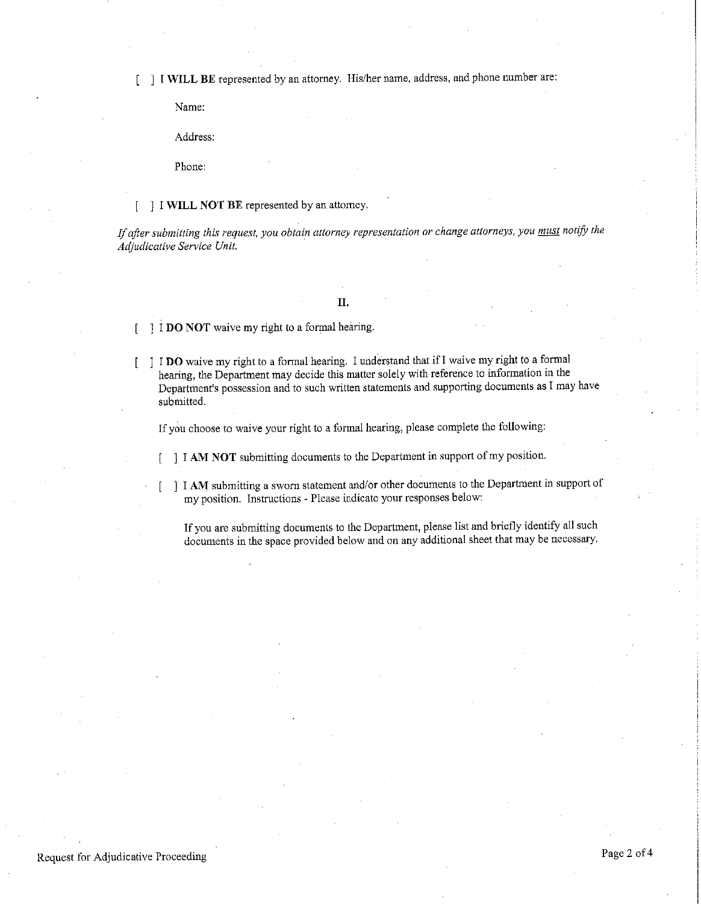**I WILL BE** represented by an attorney. His/her name, address, and phone number are:  $\sqrt{ }$ 

Name:

Address:

Phone:

#### ] I **WILL NOT BE** represented by an attorney.

*If after submitting this request, you obtain attorney representation or change attorneys, you must notify the Adjudicative Service Unit.* ·

## **II.**

I **DO NOT** waive my right to a formal hearing.

I **DO** waive my right to a formal hearing. I understand that if! waive my right to a formal hearing, the Department may decide this matter solely with reference to information in the **Department<sup>1</sup> s possession and to such written statements and supporting documents as I may have**  submitted.

If you choose to waive your right to a formal hearing, please complete the following:

**I I AM NOT** submitting documents to the Department in support of my position.

I **AM** submitting a sworn statement and/or other documents to the Department in support of **my position. Instructions - Please indicate your responses below:** 

If you are submitting documents to the Department, please list and briefly identify all such documents in the space provided below and on any additional sheet that may be necessary.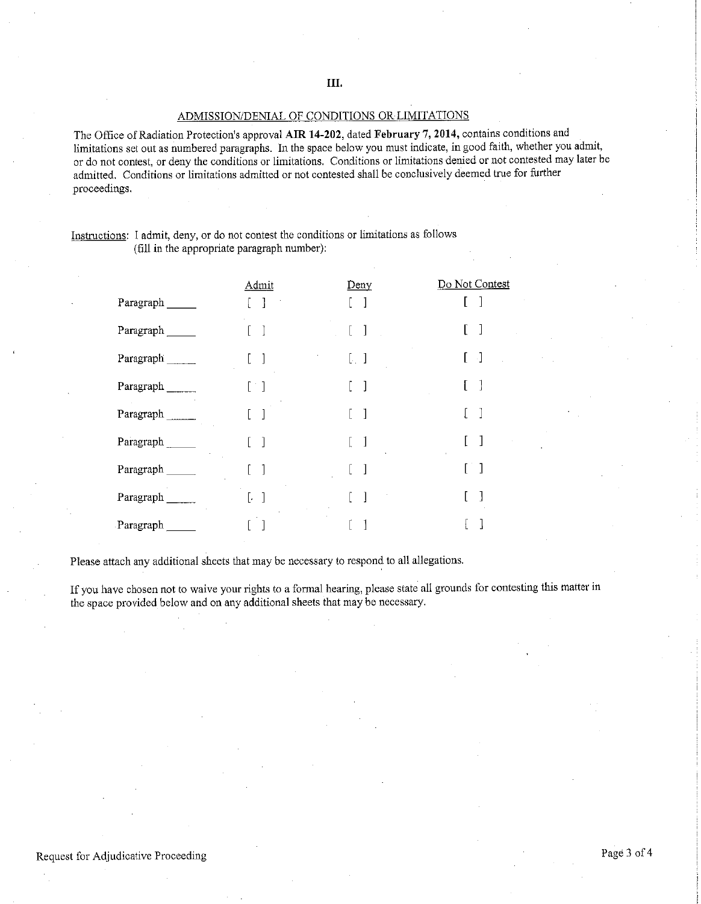# ADMISSION/DENIAL OF CONDITIONS OR LIMITATIONS

The Office of Radiation Protection's approval **AIR 14-202,** dated **February 7, 2014,** contains conditions and limitations set out as numbered paragraphs. In the space below you must indicate, in good faith, whether you admit, or do not contest, or deny the conditions or limitations. Conditions or limitations denied or not contested may later be admitted. Conditions or limitations admitted or not contested shall be conclusively deemed true for further proceedings.

## Instructions: 1 admit, deny, or do not contest the conditions or limitations as follows (fill in the appropriate paragraph number):

|             | Admit             | Deny                                           | Do Not Contest |
|-------------|-------------------|------------------------------------------------|----------------|
| Paragraph   |                   |                                                |                |
| Paragraph   |                   | $\begin{array}{c} \end{array}$                 |                |
| Paragraph   | 1                 | $\left[\begin{array}{cc} 1 \end{array}\right]$ | -]             |
| Paragraph   | $\lceil$          |                                                |                |
| Paragraph   |                   |                                                |                |
| Paragraph   | 1                 |                                                |                |
| Paragraph   | 1                 |                                                |                |
| Paragraph   | $\mathbf{l}$<br>Ŀ |                                                |                |
| Paragraph _ |                   |                                                |                |

Please attach any additional sheets that may be necessary to respond to all allegations.

If you have chosen not to waive your rights to a formal hearing, please state all grounds for contesting this matter in the space provided below and on any additional sheets that may be necessary.